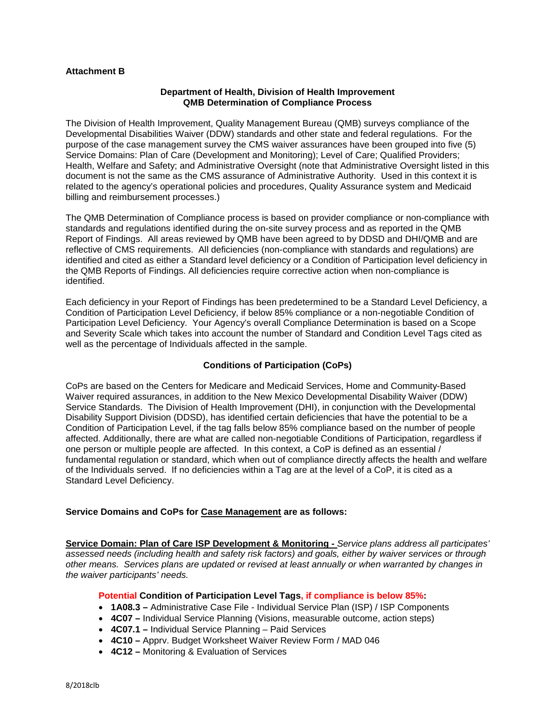# **Attachment B**

#### **Department of Health, Division of Health Improvement QMB Determination of Compliance Process**

The Division of Health Improvement, Quality Management Bureau (QMB) surveys compliance of the Developmental Disabilities Waiver (DDW) standards and other state and federal regulations. For the purpose of the case management survey the CMS waiver assurances have been grouped into five (5) Service Domains: Plan of Care (Development and Monitoring); Level of Care; Qualified Providers; Health, Welfare and Safety; and Administrative Oversight (note that Administrative Oversight listed in this document is not the same as the CMS assurance of Administrative Authority. Used in this context it is related to the agency's operational policies and procedures, Quality Assurance system and Medicaid billing and reimbursement processes.)

The QMB Determination of Compliance process is based on provider compliance or non-compliance with standards and regulations identified during the on-site survey process and as reported in the QMB Report of Findings. All areas reviewed by QMB have been agreed to by DDSD and DHI/QMB and are reflective of CMS requirements. All deficiencies (non-compliance with standards and regulations) are identified and cited as either a Standard level deficiency or a Condition of Participation level deficiency in the QMB Reports of Findings. All deficiencies require corrective action when non-compliance is identified.

Each deficiency in your Report of Findings has been predetermined to be a Standard Level Deficiency, a Condition of Participation Level Deficiency, if below 85% compliance or a non-negotiable Condition of Participation Level Deficiency. Your Agency's overall Compliance Determination is based on a Scope and Severity Scale which takes into account the number of Standard and Condition Level Tags cited as well as the percentage of Individuals affected in the sample.

## **Conditions of Participation (CoPs)**

CoPs are based on the Centers for Medicare and Medicaid Services, Home and Community-Based Waiver required assurances, in addition to the New Mexico Developmental Disability Waiver (DDW) Service Standards. The Division of Health Improvement (DHI), in conjunction with the Developmental Disability Support Division (DDSD), has identified certain deficiencies that have the potential to be a Condition of Participation Level, if the tag falls below 85% compliance based on the number of people affected. Additionally, there are what are called non-negotiable Conditions of Participation, regardless if one person or multiple people are affected. In this context, a CoP is defined as an essential  $\sqrt{ }$ fundamental regulation or standard, which when out of compliance directly affects the health and welfare of the Individuals served. If no deficiencies within a Tag are at the level of a CoP, it is cited as a Standard Level Deficiency.

## **Service Domains and CoPs for Case Management are as follows:**

**Service Domain: Plan of Care ISP Development & Monitoring -** *Service plans address all participates' assessed needs (including health and safety risk factors) and goals, either by waiver services or through other means. Services plans are updated or revised at least annually or when warranted by changes in the waiver participants' needs.*

## **Potential Condition of Participation Level Tags, if compliance is below 85%:**

- **1A08.3 –** Administrative Case File Individual Service Plan (ISP) / ISP Components
- **4C07 –** Individual Service Planning (Visions, measurable outcome, action steps)
- **4C07.1 –** Individual Service Planning Paid Services
- **4C10 –** Apprv. Budget Worksheet Waiver Review Form / MAD 046
- **4C12 –** Monitoring & Evaluation of Services